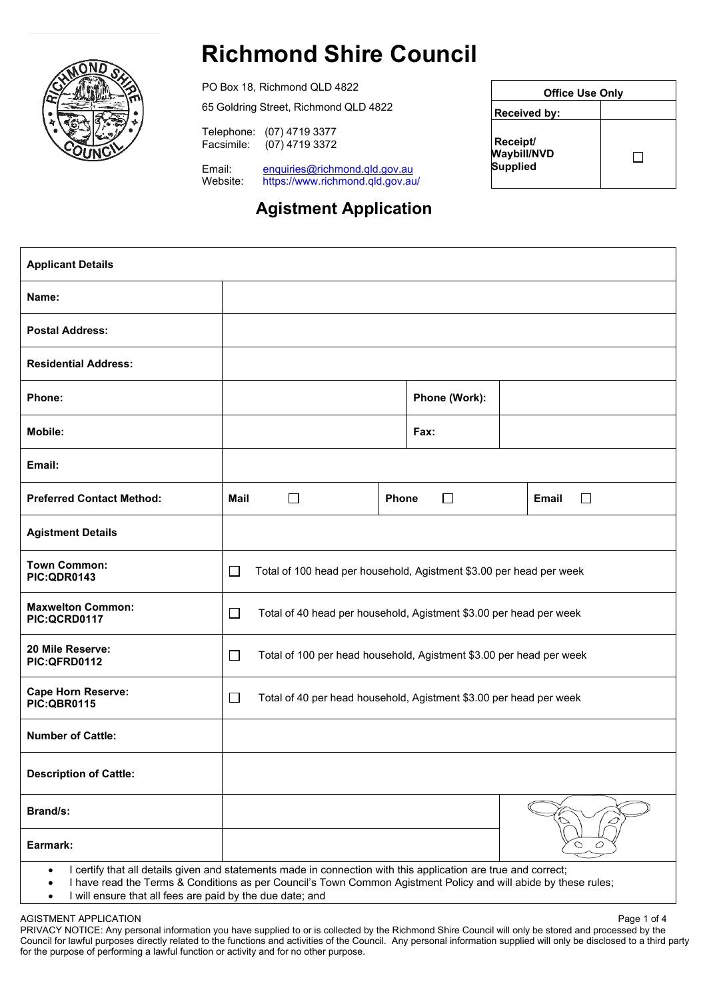

# **Richmond Shire Council**

PO Box 18, Richmond QLD 4822 65 Goldring Street, Richmond QLD 4822

Telephone: (07) 4719 3377  $(07)$  4719 3372

Email: enquiries@richmond.qld.gov.au<br>Website: https://www.richmond.qld.gov.au https://www.richmond.qld.gov.au/

## **Agistment Application**

|                                                          | <b>Office Use Only</b> |  |  |
|----------------------------------------------------------|------------------------|--|--|
| Received by:                                             |                        |  |  |
| <b>Receipt/</b><br><b>Waybill/NVD</b><br><b>Supplied</b> |                        |  |  |

| <b>Applicant Details</b>                                                                                                                                                                                                                                    |                                                                               |                 |                        |  |
|-------------------------------------------------------------------------------------------------------------------------------------------------------------------------------------------------------------------------------------------------------------|-------------------------------------------------------------------------------|-----------------|------------------------|--|
| Name:                                                                                                                                                                                                                                                       |                                                                               |                 |                        |  |
| <b>Postal Address:</b>                                                                                                                                                                                                                                      |                                                                               |                 |                        |  |
| <b>Residential Address:</b>                                                                                                                                                                                                                                 |                                                                               |                 |                        |  |
| Phone:                                                                                                                                                                                                                                                      |                                                                               | Phone (Work):   |                        |  |
| Mobile:                                                                                                                                                                                                                                                     |                                                                               | Fax:            |                        |  |
| Email:                                                                                                                                                                                                                                                      |                                                                               |                 |                        |  |
| <b>Preferred Contact Method:</b>                                                                                                                                                                                                                            | <b>Mail</b><br>$\Box$                                                         | Phone<br>$\Box$ | <b>Email</b><br>$\Box$ |  |
| <b>Agistment Details</b>                                                                                                                                                                                                                                    |                                                                               |                 |                        |  |
| <b>Town Common:</b><br>PIC:QDR0143                                                                                                                                                                                                                          | $\Box$<br>Total of 100 head per household, Agistment \$3.00 per head per week |                 |                        |  |
| <b>Maxwelton Common:</b><br>PIC:QCRD0117                                                                                                                                                                                                                    | $\Box$<br>Total of 40 head per household, Agistment \$3.00 per head per week  |                 |                        |  |
| 20 Mile Reserve:<br>PIC:QFRD0112                                                                                                                                                                                                                            | $\Box$<br>Total of 100 per head household, Agistment \$3.00 per head per week |                 |                        |  |
| <b>Cape Horn Reserve:</b><br><b>PIC:QBR0115</b>                                                                                                                                                                                                             | $\Box$<br>Total of 40 per head household, Agistment \$3.00 per head per week  |                 |                        |  |
| <b>Number of Cattle:</b>                                                                                                                                                                                                                                    |                                                                               |                 |                        |  |
| <b>Description of Cattle:</b>                                                                                                                                                                                                                               |                                                                               |                 |                        |  |
| Brand/s:                                                                                                                                                                                                                                                    |                                                                               |                 |                        |  |
| Earmark:                                                                                                                                                                                                                                                    |                                                                               |                 |                        |  |
| I certify that all details given and statements made in connection with this application are true and correct;<br>$\bullet$<br>I have read the Terms & Conditions as per Council's Town Common Agistment Policy and will abide by these rules;<br>$\bullet$ |                                                                               |                 |                        |  |

• I will ensure that all fees are paid by the due date; and

AGISTMENT APPLICATION Page 1 of 4 PRIVACY NOTICE: Any personal information you have supplied to or is collected by the Richmond Shire Council will only be stored and processed by the Council for lawful purposes directly related to the functions and activities of the Council. Any personal information supplied will only be disclosed to a third party for the purpose of performing a lawful function or activity and for no other purpose.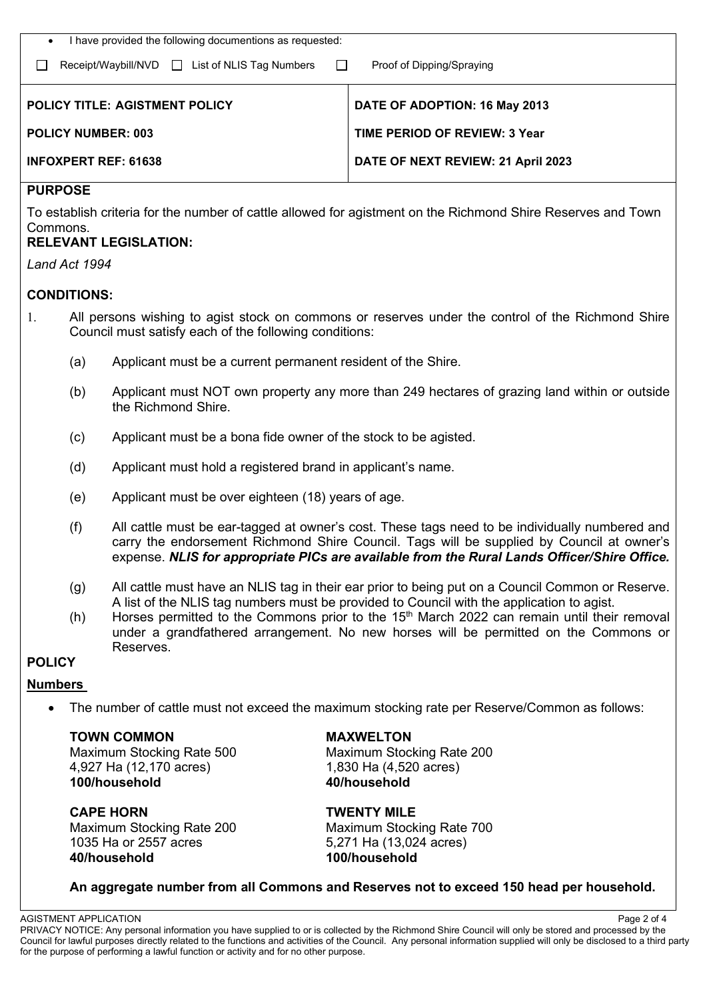| I have provided the following documentions as requested:                          |                                      |  |  |
|-----------------------------------------------------------------------------------|--------------------------------------|--|--|
| Receipt/Waybill/NVD List of NLIS Tag Numbers Dunners<br>Proof of Dipping/Spraying |                                      |  |  |
| <b>POLICY TITLE: AGISTMENT POLICY</b>                                             | DATE OF ADOPTION: 16 May 2013        |  |  |
| <b>POLICY NUMBER: 003</b>                                                         | <b>TIME PERIOD OF REVIEW: 3 Year</b> |  |  |
| <b>INFOXPERT REF: 61638</b>                                                       | DATE OF NEXT REVIEW: 21 April 2023   |  |  |

#### **PURPOSE**

To establish criteria for the number of cattle allowed for agistment on the Richmond Shire Reserves and Town Commons.

### **RELEVANT LEGISLATION:**

*Land Act 1994*

#### **CONDITIONS:**

- 1. All persons wishing to agist stock on commons or reserves under the control of the Richmond Shire Council must satisfy each of the following conditions:
	- (a) Applicant must be a current permanent resident of the Shire.
	- (b) Applicant must NOT own property any more than 249 hectares of grazing land within or outside the Richmond Shire.
	- (c) Applicant must be a bona fide owner of the stock to be agisted.
	- (d) Applicant must hold a registered brand in applicant's name.
	- (e) Applicant must be over eighteen (18) years of age.
	- (f) All cattle must be ear-tagged at owner's cost. These tags need to be individually numbered and carry the endorsement Richmond Shire Council. Tags will be supplied by Council at owner's expense. *NLIS for appropriate PICs are available from the Rural Lands Officer/Shire Office.*
	- (g) All cattle must have an NLIS tag in their ear prior to being put on a Council Common or Reserve. A list of the NLIS tag numbers must be provided to Council with the application to agist.
	- (h) Horses permitted to the Commons prior to the  $15<sup>th</sup>$  March 2022 can remain until their removal under a grandfathered arrangement. No new horses will be permitted on the Commons or Reserves.

#### **POLICY**

#### **Numbers**

• The number of cattle must not exceed the maximum stocking rate per Reserve/Common as follows:

**TOWN COMMON MAXWELTON** Maximum Stocking Rate 500 Maximum Stocking Rate 200 4,927 Ha (12,170 acres) 1,830 Ha (4,520 acres)<br> **100/household** 40/household **100/household 40/household**

**CAPE HORN**<br>
Maximum Stocking Rate 200 **TWENTY MILE**<br>
Maximum Stocking Rate 200 Maximum Stocking Rate 700 Maximum Stocking Rate 200<br>1035 Ha or 2557 acres **40/household 100/household**

5,271 Ha (13,024 acres)

#### **An aggregate number from all Commons and Reserves not to exceed 150 head per household.**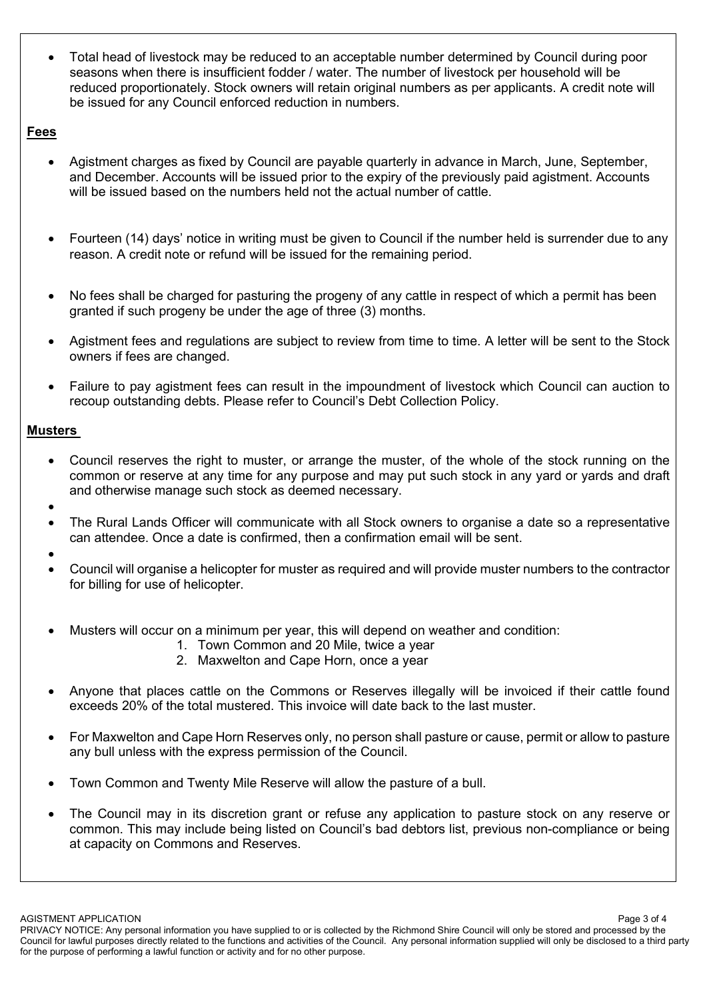• Total head of livestock may be reduced to an acceptable number determined by Council during poor seasons when there is insufficient fodder / water. The number of livestock per household will be reduced proportionately. Stock owners will retain original numbers as per applicants. A credit note will be issued for any Council enforced reduction in numbers.

#### **Fees**

- Agistment charges as fixed by Council are payable quarterly in advance in March, June, September, and December. Accounts will be issued prior to the expiry of the previously paid agistment. Accounts will be issued based on the numbers held not the actual number of cattle.
- Fourteen (14) days' notice in writing must be given to Council if the number held is surrender due to any reason. A credit note or refund will be issued for the remaining period.
- No fees shall be charged for pasturing the progeny of any cattle in respect of which a permit has been granted if such progeny be under the age of three (3) months.
- Agistment fees and regulations are subject to review from time to time. A letter will be sent to the Stock owners if fees are changed.
- Failure to pay agistment fees can result in the impoundment of livestock which Council can auction to recoup outstanding debts. Please refer to Council's Debt Collection Policy.

### **Musters**

- Council reserves the right to muster, or arrange the muster, of the whole of the stock running on the common or reserve at any time for any purpose and may put such stock in any yard or yards and draft and otherwise manage such stock as deemed necessary.
- •
- The Rural Lands Officer will communicate with all Stock owners to organise a date so a representative can attendee. Once a date is confirmed, then a confirmation email will be sent.
- •
- Council will organise a helicopter for muster as required and will provide muster numbers to the contractor for billing for use of helicopter.
- Musters will occur on a minimum per year, this will depend on weather and condition:
	- 1. Town Common and 20 Mile, twice a year
	- 2. Maxwelton and Cape Horn, once a year
- Anyone that places cattle on the Commons or Reserves illegally will be invoiced if their cattle found exceeds 20% of the total mustered. This invoice will date back to the last muster.
- For Maxwelton and Cape Horn Reserves only, no person shall pasture or cause, permit or allow to pasture any bull unless with the express permission of the Council.
- Town Common and Twenty Mile Reserve will allow the pasture of a bull.
- The Council may in its discretion grant or refuse any application to pasture stock on any reserve or common. This may include being listed on Council's bad debtors list, previous non-compliance or being at capacity on Commons and Reserves.

PRIVACY NOTICE: Any personal information you have supplied to or is collected by the Richmond Shire Council will only be stored and processed by the Council for lawful purposes directly related to the functions and activities of the Council. Any personal information supplied will only be disclosed to a third party for the purpose of performing a lawful function or activity and for no other purpose.